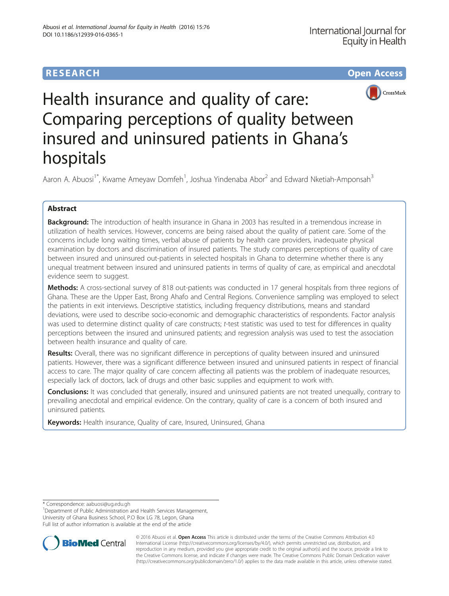# **RESEARCH CHE Open Access**



# Health insurance and quality of care: Comparing perceptions of quality between insured and uninsured patients in Ghana's hospitals

Aaron A. Abuosi<sup>1\*</sup>, Kwame Ameyaw Domfeh<sup>1</sup>, Joshua Yindenaba Abor<sup>2</sup> and Edward Nketiah-Amponsah<sup>3</sup>

# Abstract

**Background:** The introduction of health insurance in Ghana in 2003 has resulted in a tremendous increase in utilization of health services. However, concerns are being raised about the quality of patient care. Some of the concerns include long waiting times, verbal abuse of patients by health care providers, inadequate physical examination by doctors and discrimination of insured patients. The study compares perceptions of quality of care between insured and uninsured out-patients in selected hospitals in Ghana to determine whether there is any unequal treatment between insured and uninsured patients in terms of quality of care, as empirical and anecdotal evidence seem to suggest.

Methods: A cross-sectional survey of 818 out-patients was conducted in 17 general hospitals from three regions of Ghana. These are the Upper East, Brong Ahafo and Central Regions. Convenience sampling was employed to select the patients in exit interviews. Descriptive statistics, including frequency distributions, means and standard deviations, were used to describe socio-economic and demographic characteristics of respondents. Factor analysis was used to determine distinct quality of care constructs; t-test statistic was used to test for differences in quality perceptions between the insured and uninsured patients; and regression analysis was used to test the association between health insurance and quality of care.

Results: Overall, there was no significant difference in perceptions of quality between insured and uninsured patients. However, there was a significant difference between insured and uninsured patients in respect of financial access to care. The major quality of care concern affecting all patients was the problem of inadequate resources, especially lack of doctors, lack of drugs and other basic supplies and equipment to work with.

Conclusions: It was concluded that generally, insured and uninsured patients are not treated unequally, contrary to prevailing anecdotal and empirical evidence. On the contrary, quality of care is a concern of both insured and uninsured patients.

Keywords: Health insurance, Quality of care, Insured, Uninsured, Ghana

\* Correspondence: [aabuosi@ug.edu.gh](mailto:aabuosi@ug.edu.gh) <sup>1</sup>

<sup>1</sup>Department of Public Administration and Health Services Management, University of Ghana Business School, P.O Box LG 78, Legon, Ghana Full list of author information is available at the end of the article



© 2016 Abuosi et al. Open Access This article is distributed under the terms of the Creative Commons Attribution 4.0 International License [\(http://creativecommons.org/licenses/by/4.0/](http://creativecommons.org/licenses/by/4.0/)), which permits unrestricted use, distribution, and reproduction in any medium, provided you give appropriate credit to the original author(s) and the source, provide a link to the Creative Commons license, and indicate if changes were made. The Creative Commons Public Domain Dedication waiver [\(http://creativecommons.org/publicdomain/zero/1.0/](http://creativecommons.org/publicdomain/zero/1.0/)) applies to the data made available in this article, unless otherwise stated.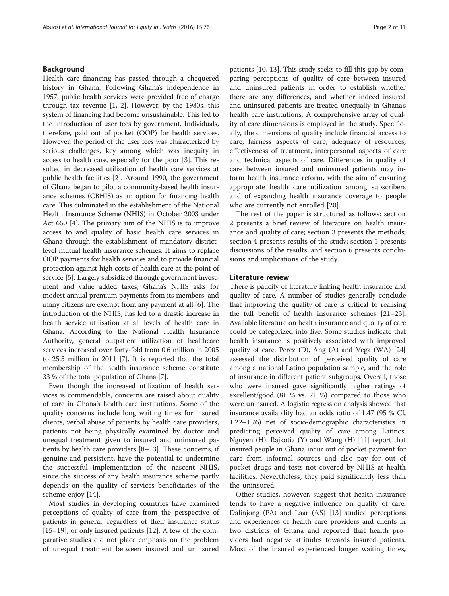# Background

Health care financing has passed through a chequered history in Ghana. Following Ghana's independence in 1957, public health services were provided free of charge through tax revenue [[1](#page-9-0), [2\]](#page-9-0). However, by the 1980s, this system of financing had become unsustainable. This led to the introduction of user fees by government. Individuals, therefore, paid out of pocket (OOP) for health services. However, the period of the user fees was characterized by serious challenges, key among which was inequity in access to health care, especially for the poor [\[3](#page-9-0)]. This resulted in decreased utilization of health care services at public health facilities [\[2](#page-9-0)]. Around 1990, the government of Ghana began to pilot a community-based health insurance schemes (CBHIS) as an option for financing health care. This culminated in the establishment of the National Health Insurance Scheme (NHIS) in October 2003 under Act 650 [[4](#page-9-0)]. The primary aim of the NHIS is to improve access to and quality of basic health care services in Ghana through the establishment of mandatory districtlevel mutual health insurance schemes. It aims to replace OOP payments for health services and to provide financial protection against high costs of health care at the point of service [[5\]](#page-9-0). Largely subsidized through government investment and value added taxes, Ghana's NHIS asks for modest annual premium payments from its members, and many citizens are exempt from any payment at all [[6\]](#page-9-0). The introduction of the NHIS, has led to a drastic increase in health service utilisation at all levels of health care in Ghana. According to the National Health Insurance Authority, general outpatient utilization of healthcare services increased over forty-fold from 0.6 million in 2005 to 25.5 million in 2011 [[7](#page-9-0)]. It is reported that the total membership of the health insurance scheme constitute 33 % of the total population of Ghana [\[7\]](#page-9-0).

Even though the increased utilization of health services is commendable, concerns are raised about quality of care in Ghana's health care institutions. Some of the quality concerns include long waiting times for insured clients, verbal abuse of patients by health care providers, patients not being physically examined by doctor and unequal treatment given to insured and uninsured patients by health care providers [[8](#page-10-0)–[13\]](#page-10-0). These concerns, if genuine and persistent, have the potential to undermine the successful implementation of the nascent NHIS, since the success of any health insurance scheme partly depends on the quality of services beneficiaries of the scheme enjoy [[14\]](#page-10-0).

Most studies in developing countries have examined perceptions of quality of care from the perspective of patients in general, regardless of their insurance status [[15](#page-10-0)–[19](#page-10-0)], or only insured patients [\[12](#page-10-0)]. A few of the comparative studies did not place emphasis on the problem of unequal treatment between insured and uninsured

patients [[10, 13\]](#page-10-0). This study seeks to fill this gap by comparing perceptions of quality of care between insured and uninsured patients in order to establish whether there are any differences, and whether indeed insured and uninsured patients are treated unequally in Ghana's health care institutions. A comprehensive array of quality of care dimensions is employed in the study. Specifically, the dimensions of quality include financial access to care, fairness aspects of care, adequacy of resources, effectiveness of treatment, interpersonal aspects of care and technical aspects of care. Differences in quality of care between insured and uninsured patients may inform health insurance reform, with the aim of ensuring appropriate health care utilization among subscribers and of expanding health insurance coverage to people who are currently not enrolled [[20](#page-10-0)].

The rest of the paper is structured as follows: section 2 presents a brief review of literature on health insurance and quality of care; section 3 presents the methods; section 4 presents results of the study; section 5 presents discussions of the results; and section 6 presents conclusions and implications of the study.

# Literature review

There is paucity of literature linking health insurance and quality of care. A number of studies generally conclude that improving the quality of care is critical to realising the full benefit of health insurance schemes [\[21](#page-10-0)–[23](#page-10-0)]. Available literature on health insurance and quality of care could be categorized into five. Some studies indicate that health insurance is positively associated with improved quality of care. Perez (D), Ang (A) and Vega (WA) [[24](#page-10-0)] assessed the distribution of perceived quality of care among a national Latino population sample, and the role of insurance in different patient subgroups. Overall, those who were insured gave significantly higher ratings of excellent/good (81 % vs. 71 %) compared to those who were uninsured. A logistic regression analysis showed that insurance availability had an odds ratio of 1.47 (95 % CI, 1.22–1.76) net of socio-demographic characteristics in predicting perceived quality of care among Latinos. Nguyen (H), Rajkotia (Y) and Wang (H) [\[11\]](#page-10-0) report that insured people in Ghana incur out of pocket payment for care from informal sources and also pay for out of pocket drugs and tests not covered by NHIS at health facilities. Nevertheless, they paid significantly less than the uninsured.

Other studies, however, suggest that health insurance tends to have a negative influence on quality of care. Dalinjong (PA) and Laar (AS) [[13\]](#page-10-0) studied perceptions and experiences of health care providers and clients in two districts of Ghana and reported that health providers had negative attitudes towards insured patients. Most of the insured experienced longer waiting times,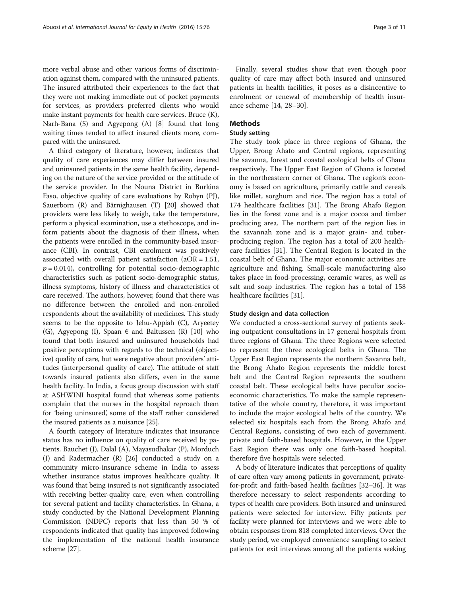more verbal abuse and other various forms of discrimination against them, compared with the uninsured patients. The insured attributed their experiences to the fact that they were not making immediate out of pocket payments for services, as providers preferred clients who would make instant payments for health care services. Bruce (K), Narh-Bana (S) and Agyepong (A) [[8\]](#page-10-0) found that long waiting times tended to affect insured clients more, compared with the uninsured.

A third category of literature, however, indicates that quality of care experiences may differ between insured and uninsured patients in the same health facility, depending on the nature of the service provided or the attitude of the service provider. In the Nouna District in Burkina Faso, objective quality of care evaluations by Robyn (PJ), Sauerborn (R) and Bärnighausen (T) [\[20\]](#page-10-0) showed that providers were less likely to weigh, take the temperature, perform a physical examination, use a stethoscope, and inform patients about the diagnosis of their illness, when the patients were enrolled in the community-based insurance (CBI). In contrast, CBI enrolment was positively associated with overall patient satisfaction ( $aOR = 1.51$ ,  $p = 0.014$ , controlling for potential socio-demographic characteristics such as patient socio-demographic status, illness symptoms, history of illness and characteristics of care received. The authors, however, found that there was no difference between the enrolled and non-enrolled respondents about the availability of medicines. This study seems to be the opposite to Jehu-Appiah (C), Aryeetey (G), Agyepong (I), Spaan  $\epsilon$  and Baltussen (R) [\[10\]](#page-10-0) who found that both insured and uninsured households had positive perceptions with regards to the technical (objective) quality of care, but were negative about providers' attitudes (interpersonal quality of care). The attitude of staff towards insured patients also differs, even in the same health facility. In India, a focus group discussion with staff at ASHWINI hospital found that whereas some patients complain that the nurses in the hospital reproach them for 'being uninsured', some of the staff rather considered the insured patients as a nuisance [[25\]](#page-10-0).

A fourth category of literature indicates that insurance status has no influence on quality of care received by patients. Bauchet (J), Dalal (A), Mayasudhakar (P), Morduch (J) and Radermacher (R) [\[26\]](#page-10-0) conducted a study on a community micro-insurance scheme in India to assess whether insurance status improves healthcare quality. It was found that being insured is not significantly associated with receiving better-quality care, even when controlling for several patient and facility characteristics. In Ghana, a study conducted by the National Development Planning Commission (NDPC) reports that less than 50 % of respondents indicated that quality has improved following the implementation of the national health insurance scheme [\[27\]](#page-10-0).

Finally, several studies show that even though poor quality of care may affect both insured and uninsured patients in health facilities, it poses as a disincentive to enrolment or renewal of membership of health insurance scheme [[14, 28](#page-10-0)–[30](#page-10-0)].

# Methods

# Study setting

The study took place in three regions of Ghana, the Upper, Brong Ahafo and Central regions, representing the savanna, forest and coastal ecological belts of Ghana respectively. The Upper East Region of Ghana is located in the northeastern corner of Ghana. The region's economy is based on agriculture, primarily cattle and cereals like millet, sorghum and rice. The region has a total of 174 healthcare facilities [\[31](#page-10-0)]. The Brong Ahafo Region lies in the forest zone and is a major cocoa and timber producing area. The northern part of the region lies in the savannah zone and is a major grain- and tuberproducing region. The region has a total of 200 healthcare facilities [[31](#page-10-0)]. The Central Region is located in the coastal belt of Ghana. The major economic activities are agriculture and fishing. Small-scale manufacturing also takes place in food-processing, ceramic wares, as well as salt and soap industries. The region has a total of 158 healthcare facilities [\[31\]](#page-10-0).

## Study design and data collection

We conducted a cross-sectional survey of patients seeking outpatient consultations in 17 general hospitals from three regions of Ghana. The three Regions were selected to represent the three ecological belts in Ghana. The Upper East Region represents the northern Savanna belt, the Brong Ahafo Region represents the middle forest belt and the Central Region represents the southern coastal belt. These ecological belts have peculiar socioeconomic characteristics. To make the sample representative of the whole country, therefore, it was important to include the major ecological belts of the country. We selected six hospitals each from the Brong Ahafo and Central Regions, consisting of two each of government, private and faith-based hospitals. However, in the Upper East Region there was only one faith-based hospital, therefore five hospitals were selected.

A body of literature indicates that perceptions of quality of care often vary among patients in government, privatefor-profit and faith-based health facilities [\[32](#page-10-0)–[36\]](#page-10-0). It was therefore necessary to select respondents according to types of health care providers. Both insured and uninsured patients were selected for interview. Fifty patients per facility were planned for interviews and we were able to obtain responses from 818 completed interviews. Over the study period, we employed convenience sampling to select patients for exit interviews among all the patients seeking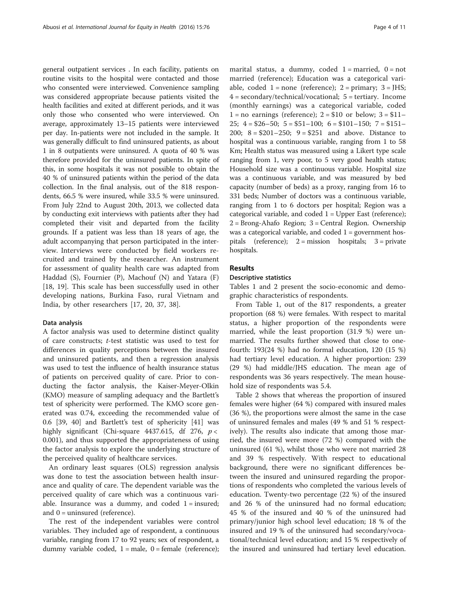general outpatient services . In each facility, patients on routine visits to the hospital were contacted and those who consented were interviewed. Convenience sampling was considered appropriate because patients visited the health facilities and exited at different periods, and it was only those who consented who were interviewed. On average, approximately 13–15 patients were interviewed per day. In-patients were not included in the sample. It was generally difficult to find uninsured patients, as about 1 in 8 outpatients were uninsured. A quota of 40 % was therefore provided for the uninsured patients. In spite of this, in some hospitals it was not possible to obtain the 40 % of uninsured patients within the period of the data collection. In the final analysis, out of the 818 respondents, 66.5 % were insured, while 33.5 % were uninsured. From July 22nd to August 20th, 2013, we collected data by conducting exit interviews with patients after they had completed their visit and departed from the facility grounds. If a patient was less than 18 years of age, the adult accompanying that person participated in the interview. Interviews were conducted by field workers recruited and trained by the researcher. An instrument for assessment of quality health care was adapted from Haddad (S), Fournier (P), Machouf (N) and Yatara (F) [[18, 19\]](#page-10-0). This scale has been successfully used in other developing nations, Burkina Faso, rural Vietnam and India, by other researchers [\[17](#page-10-0), [20](#page-10-0), [37](#page-10-0), [38](#page-10-0)].

#### Data analysis

A factor analysis was used to determine distinct quality of care constructs; t-test statistic was used to test for differences in quality perceptions between the insured and uninsured patients, and then a regression analysis was used to test the influence of health insurance status of patients on perceived quality of care. Prior to conducting the factor analysis, the Kaiser-Meyer-Olkin (KMO) measure of sampling adequacy and the Bartlett's test of sphericity were performed. The KMO score generated was 0.74, exceeding the recommended value of 0.6 [\[39](#page-10-0), [40\]](#page-10-0) and Bartlett's test of sphericity [[41\]](#page-10-0) was highly significant (Chi-square 4437.615, df 276,  $p <$ 0.001), and thus supported the appropriateness of using the factor analysis to explore the underlying structure of the perceived quality of healthcare services.

An ordinary least squares (OLS) regression analysis was done to test the association between health insurance and quality of care. The dependent variable was the perceived quality of care which was a continuous variable. Insurance was a dummy, and coded  $1 =$  insured; and 0 = uninsured (reference).

The rest of the independent variables were control variables. They included age of respondent, a continuous variable, ranging from 17 to 92 years; sex of respondent, a dummy variable coded,  $1 =$ male,  $0 =$ female (reference);

marital status, a dummy, coded  $1 =$  married,  $0 =$  not married (reference); Education was a categorical variable, coded  $1 = none$  (reference);  $2 = primary$ ;  $3 = JHS$ ;  $4 =$  secondary/technical/vocational;  $5 =$  tertiary. Income (monthly earnings) was a categorical variable, coded  $1 = no$  earnings (reference);  $2 = $10$  or below;  $3 = $11 -$ 25;  $4 = $26 - 50$ ;  $5 = $51 - 100$ ;  $6 = $101 - 150$ ;  $7 = $151 -$ 200;  $8 = $201 - 250$ ;  $9 = $251$  and above. Distance to hospital was a continuous variable, ranging from 1 to 58 Km; Health status was measured using a Likert type scale ranging from 1, very poor, to 5 very good health status; Household size was a continuous variable. Hospital size was a continuous variable, and was measured by bed capacity (number of beds) as a proxy, ranging from 16 to 331 beds; Number of doctors was a continuous variable, ranging from 1 to 6 doctors per hospital; Region was a categorical variable, and coded 1 = Upper East (reference); 2 = Brong-Ahafo Region; 3 = Central Region. Ownership was a categorical variable, and coded  $1 =$  government hospitals (reference);  $2 = \text{mission}$  hospitals;  $3 = \text{private}$ hospitals.

## Results

# Descriptive statistics

Tables [1](#page-4-0) and [2](#page-4-0) present the socio-economic and demographic characteristics of respondents.

From Table [1,](#page-4-0) out of the 817 respondents, a greater proportion (68 %) were females. With respect to marital status, a higher proportion of the respondents were married, while the least proportion (31.9 %) were unmarried. The results further showed that close to onefourth: 193(24 %) had no formal education, 120 (15 %) had tertiary level education. A higher proportion: 239 (29 %) had middle/JHS education. The mean age of respondents was 36 years respectively. The mean household size of respondents was 5.4.

Table [2](#page-4-0) shows that whereas the proportion of insured females were higher (64 %) compared with insured males (36 %), the proportions were almost the same in the case of uninsured females and males (49 % and 51 % respectively). The results also indicate that among those married, the insured were more (72 %) compared with the uninsured (61 %), whilst those who were not married 28 and 39 % respectively. With respect to educational background, there were no significant differences between the insured and uninsured regarding the proportions of respondents who completed the various levels of education. Twenty-two percentage (22 %) of the insured and 26 % of the uninsured had no formal education; 45 % of the insured and 40 % of the uninsured had primary/junior high school level education; 18 % of the insured and 19 % of the uninsured had secondary/vocational/technical level education; and 15 % respectively of the insured and uninsured had tertiary level education.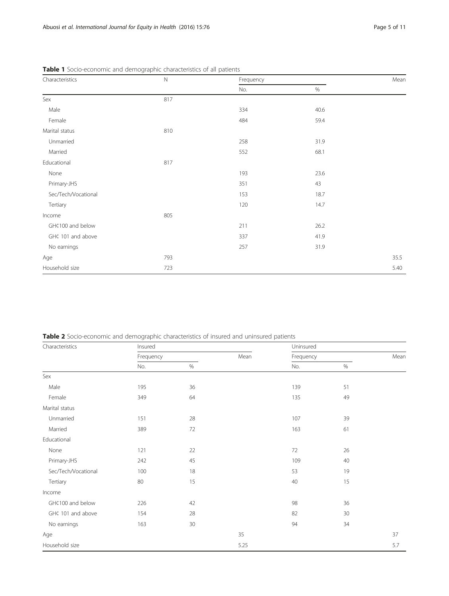| Characteristics     | $\mathsf{N}$ | Frequency |      | Mean |
|---------------------|--------------|-----------|------|------|
|                     |              | No.       | $\%$ |      |
| Sex                 | 817          |           |      |      |
| Male                |              | 334       | 40.6 |      |
| Female              |              | 484       | 59.4 |      |
| Marital status      | 810          |           |      |      |
| Unmarried           |              | 258       | 31.9 |      |
| Married             |              | 552       | 68.1 |      |
| Educational         | 817          |           |      |      |
| None                |              | 193       | 23.6 |      |
| Primary-JHS         |              | 351       | 43   |      |
| Sec/Tech/Vocational |              | 153       | 18.7 |      |
| Tertiary            |              | 120       | 14.7 |      |
| Income              | 805          |           |      |      |
| GH¢100 and below    |              | 211       | 26.2 |      |
| GH¢ 101 and above   |              | 337       | 41.9 |      |
| No earnings         |              | 257       | 31.9 |      |
| Age                 | 793          |           |      | 35.5 |
| Household size      | 723          |           |      | 5.40 |

<span id="page-4-0"></span>Table 1 Socio-economic and demographic characteristics of all patients

Table 2 Socio-economic and demographic characteristics of insured and uninsured patients

| Characteristics     | $\tilde{\phantom{a}}$<br>$\mathbf{r}$<br>Insured |      |      | Uninsured |      |      |
|---------------------|--------------------------------------------------|------|------|-----------|------|------|
|                     | Frequency                                        |      | Mean | Frequency |      | Mean |
|                     | No.                                              | $\%$ |      | No.       | $\%$ |      |
| Sex                 |                                                  |      |      |           |      |      |
| Male                | 195                                              | 36   |      | 139       | 51   |      |
| Female              | 349                                              | 64   |      | 135       | 49   |      |
| Marital status      |                                                  |      |      |           |      |      |
| Unmarried           | 151                                              | 28   |      | 107       | 39   |      |
| Married             | 389                                              | 72   |      | 163       | 61   |      |
| Educational         |                                                  |      |      |           |      |      |
| None                | 121                                              | 22   |      | 72        | 26   |      |
| Primary-JHS         | 242                                              | 45   |      | 109       | 40   |      |
| Sec/Tech/Vocational | 100                                              | 18   |      | 53        | 19   |      |
| Tertiary            | 80                                               | 15   |      | $40\,$    | 15   |      |
| Income              |                                                  |      |      |           |      |      |
| GH¢100 and below    | 226                                              | 42   |      | 98        | 36   |      |
| GH¢ 101 and above   | 154                                              | 28   |      | 82        | 30   |      |
| No earnings         | 163                                              | 30   |      | 94        | 34   |      |
| Age                 |                                                  |      | 35   |           |      | 37   |
| Household size      |                                                  |      | 5.25 |           |      | 5.7  |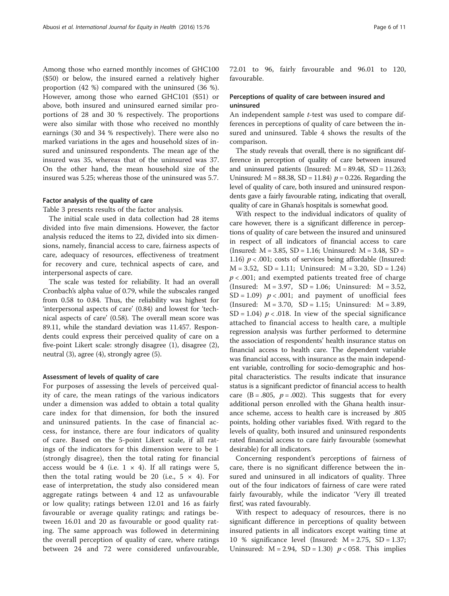Among those who earned monthly incomes of GHC100 (\$50) or below, the insured earned a relatively higher proportion (42 %) compared with the uninsured (36 %). However, among those who earned GHC101 (\$51) or above, both insured and uninsured earned similar proportions of 28 and 30 % respectively. The proportions were also similar with those who received no monthly earnings (30 and 34 % respectively). There were also no marked variations in the ages and household sizes of insured and uninsured respondents. The mean age of the insured was 35, whereas that of the uninsured was 37. On the other hand, the mean household size of the insured was 5.25; whereas those of the uninsured was 5.7.

# Factor analysis of the quality of care

Table [3](#page-6-0) presents results of the factor analysis.

The initial scale used in data collection had 28 items divided into five main dimensions. However, the factor analysis reduced the items to 22, divided into six dimensions, namely, financial access to care, fairness aspects of care, adequacy of resources, effectiveness of treatment for recovery and cure, technical aspects of care, and interpersonal aspects of care.

The scale was tested for reliability. It had an overall Cronbach's alpha value of 0.79, while the subscales ranged from 0.58 to 0.84. Thus, the reliability was highest for 'interpersonal aspects of care' (0.84) and lowest for 'technical aspects of care' (0.58). The overall mean score was 89.11, while the standard deviation was 11.457. Respondents could express their perceived quality of care on a five-point Likert scale: strongly disagree (1), disagree (2), neutral (3), agree (4), strongly agree (5).

#### Assessment of levels of quality of care

For purposes of assessing the levels of perceived quality of care, the mean ratings of the various indicators under a dimension was added to obtain a total quality care index for that dimension, for both the insured and uninsured patients. In the case of financial access, for instance, there are four indicators of quality of care. Based on the 5-point Likert scale, if all ratings of the indicators for this dimension were to be 1 (strongly disagree), then the total rating for financial access would be 4 (i.e.  $1 \times 4$ ). If all ratings were 5, then the total rating would be 20 (i.e.,  $5 \times 4$ ). For ease of interpretation, the study also considered mean aggregate ratings between 4 and 12 as unfavourable or low quality; ratings between 12.01 and 16 as fairly favourable or average quality ratings; and ratings between 16.01 and 20 as favourable or good quality rating. The same approach was followed in determining the overall perception of quality of care, where ratings between 24 and 72 were considered unfavourable, 72.01 to 96, fairly favourable and 96.01 to 120, favourable.

# Perceptions of quality of care between insured and uninsured

An independent sample *t*-test was used to compare differences in perceptions of quality of care between the insured and uninsured. Table [4](#page-7-0) shows the results of the comparison.

The study reveals that overall, there is no significant difference in perception of quality of care between insured and uninsured patients (Insured:  $M = 89.48$ ,  $SD = 11.263$ ; Uninsured:  $M = 88.38$ , SD = 11.84)  $p = 0.226$ . Regarding the level of quality of care, both insured and uninsured respondents gave a fairly favourable rating, indicating that overall, quality of care in Ghana's hospitals is somewhat good.

With respect to the individual indicators of quality of care however, there is a significant difference in perceptions of quality of care between the insured and uninsured in respect of all indicators of financial access to care (Insured:  $M = 3.85$ ,  $SD = 1.16$ ; Uninsured:  $M = 3.48$ ,  $SD =$ 1.16)  $p < .001$ ; costs of services being affordable (Insured:  $M = 3.52$ ,  $SD = 1.11$ ; Uninsured:  $M = 3.20$ ,  $SD = 1.24$ )  $p < .001$ ; and exempted patients treated free of charge (Insured:  $M = 3.97$ ,  $SD = 1.06$ ; Uninsured:  $M = 3.52$ ,  $SD = 1.09$ )  $p < .001$ ; and payment of unofficial fees (Insured:  $M = 3.70$ ,  $SD = 1.15$ ; Uninsured:  $M = 3.89$ ,  $SD = 1.04$ )  $p < .018$ . In view of the special significance attached to financial access to health care, a multiple regression analysis was further performed to determine the association of respondents' health insurance status on financial access to health care. The dependent variable was financial access, with insurance as the main independent variable, controlling for socio-demographic and hospital characteristics. The results indicate that insurance status is a significant predictor of financial access to health care  $(B = .805, p = .002)$ . This suggests that for every additional person enrolled with the Ghana health insurance scheme, access to health care is increased by .805 points, holding other variables fixed. With regard to the levels of quality, both insured and uninsured respondents rated financial access to care fairly favourable (somewhat desirable) for all indicators.

Concerning respondent's perceptions of fairness of care, there is no significant difference between the insured and uninsured in all indicators of quality. Three out of the four indicators of fairness of care were rated fairly favourably, while the indicator 'Very ill treated first', was rated favourably.

With respect to adequacy of resources, there is no significant difference in perceptions of quality between insured patients in all indicators except waiting time at 10 % significance level (Insured: M = 2.75, SD = 1.37; Uninsured:  $M = 2.94$ ,  $SD = 1.30$ )  $p < 0.58$ . This implies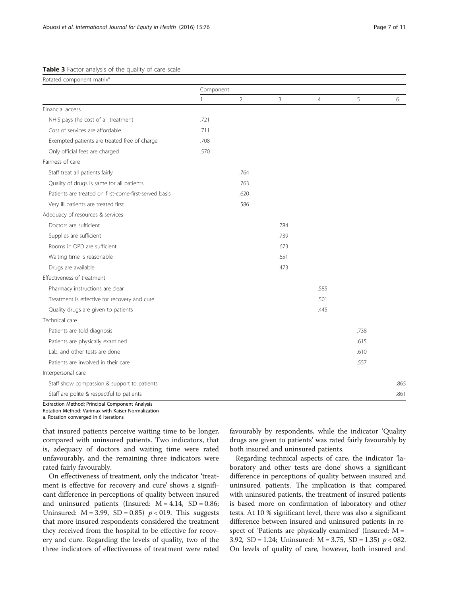#### <span id="page-6-0"></span>Table 3 Factor analysis of the quality of care scale

| Financial access<br>NHIS pays the cost of all treatment | Component<br>$\mathbf{1}$<br>.721<br>.711 | $\overline{2}$ | 3    | $\overline{4}$ | 5    | 6    |
|---------------------------------------------------------|-------------------------------------------|----------------|------|----------------|------|------|
|                                                         |                                           |                |      |                |      |      |
|                                                         |                                           |                |      |                |      |      |
|                                                         |                                           |                |      |                |      |      |
|                                                         |                                           |                |      |                |      |      |
| Cost of services are affordable                         |                                           |                |      |                |      |      |
| Exempted patients are treated free of charge            | .708                                      |                |      |                |      |      |
| Only official fees are charged                          | .570                                      |                |      |                |      |      |
| Fairness of care                                        |                                           |                |      |                |      |      |
| Staff treat all patients fairly                         |                                           | .764           |      |                |      |      |
| Quality of drugs is same for all patients               |                                           | .763           |      |                |      |      |
| Patients are treated on first-come-first-served basis   |                                           | .620           |      |                |      |      |
| Very ill patients are treated first                     |                                           | .586           |      |                |      |      |
| Adequacy of resources & services                        |                                           |                |      |                |      |      |
| Doctors are sufficient                                  |                                           |                | .784 |                |      |      |
| Supplies are sufficient                                 |                                           |                | .739 |                |      |      |
| Rooms in OPD are sufficient                             |                                           |                | .673 |                |      |      |
| Waiting time is reasonable                              |                                           |                | .651 |                |      |      |
| Drugs are available                                     |                                           |                | .473 |                |      |      |
| Effectiveness of treatment                              |                                           |                |      |                |      |      |
| Pharmacy instructions are clear                         |                                           |                |      | .585           |      |      |
| Treatment is effective for recovery and cure            |                                           |                |      | .501           |      |      |
| Quality drugs are given to patients                     |                                           |                |      | .445           |      |      |
| Technical care                                          |                                           |                |      |                |      |      |
| Patients are told diagnosis                             |                                           |                |      |                | .738 |      |
| Patients are physically examined                        |                                           |                |      |                | .615 |      |
| Lab, and other tests are done                           |                                           |                |      |                | .610 |      |
| Patients are involved in their care                     |                                           |                |      |                | .557 |      |
| Interpersonal care                                      |                                           |                |      |                |      |      |
| Staff show compassion & support to patients             |                                           |                |      |                |      | .865 |
| Staff are polite & respectful to patients               |                                           |                |      |                |      | .861 |

Extraction Method: Principal Component Analysis

Rotation Method: Varimax with Kaiser Normalization

a. Rotation converged in 6 iterations

that insured patients perceive waiting time to be longer, compared with uninsured patients. Two indicators, that is, adequacy of doctors and waiting time were rated unfavourably, and the remaining three indicators were rated fairly favourably.

On effectiveness of treatment, only the indicator 'treatment is effective for recovery and cure' shows a significant difference in perceptions of quality between insured and uninsured patients (Insured:  $M = 4.14$ ,  $SD = 0.86$ ; Uninsured:  $M = 3.99$ ,  $SD = 0.85$ )  $p < 019$ . This suggests that more insured respondents considered the treatment they received from the hospital to be effective for recovery and cure. Regarding the levels of quality, two of the three indicators of effectiveness of treatment were rated

favourably by respondents, while the indicator 'Quality drugs are given to patients' was rated fairly favourably by both insured and uninsured patients.

Regarding technical aspects of care, the indicator 'laboratory and other tests are done' shows a significant difference in perceptions of quality between insured and uninsured patients. The implication is that compared with uninsured patients, the treatment of insured patients is based more on confirmation of laboratory and other tests. At 10 % significant level, there was also a significant difference between insured and uninsured patients in respect of 'Patients are physically examined' (Insured: M = 3.92, SD = 1.24; Uninsured:  $M = 3.75$ , SD = 1.35)  $p < 082$ . On levels of quality of care, however, both insured and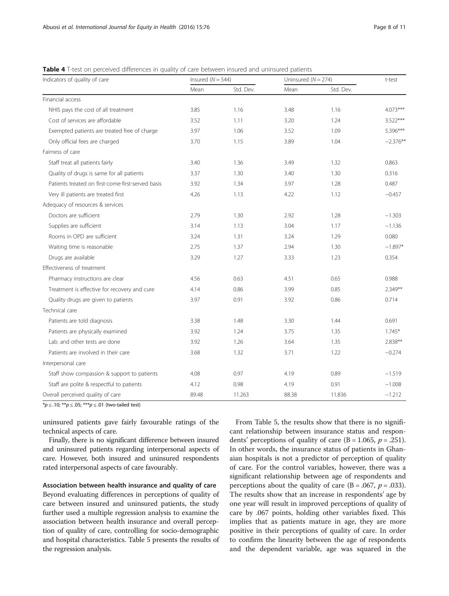| Indicators of quality of care                     | Insured ( $N = 544$ ) |           | Uninsured ( $N = 274$ ) |           | t-test     |  |
|---------------------------------------------------|-----------------------|-----------|-------------------------|-----------|------------|--|
|                                                   | Mean                  | Std. Dev. | Mean                    | Std. Dev. |            |  |
| Financial access                                  |                       |           |                         |           |            |  |
| NHIS pays the cost of all treatment               | 3.85                  | 1.16      | 3.48                    | 1.16      | $4.073***$ |  |
| Cost of services are affordable                   | 3.52                  | 1.11      | 3.20                    | 1.24      | 3.522***   |  |
| Exempted patients are treated free of charge      | 3.97                  | 1.06      | 3.52                    | 1.09      | 5.396***   |  |
| Only official fees are charged                    | 3.70                  | 1.15      | 3.89                    | 1.04      | $-2.376**$ |  |
| Fairness of care                                  |                       |           |                         |           |            |  |
| Staff treat all patients fairly                   | 3.40                  | 1.36      | 3.49                    | 1.32      | 0.863      |  |
| Quality of drugs is same for all patients         | 3.37                  | 1.30      | 3.40                    | 1.30      | 0.316      |  |
| Patients treated on first-come-first-served basis | 3.92                  | 1.34      | 3.97                    | 1.28      | 0.487      |  |
| Very ill patients are treated first               | 4.26                  | 1.13      | 4.22                    | 1.12      | $-0.457$   |  |
| Adequacy of resources & services                  |                       |           |                         |           |            |  |
| Doctors are sufficient                            | 2.79                  | 1.30      | 2.92                    | 1.28      | $-1.303$   |  |
| Supplies are sufficient                           | 3.14                  | 1.13      | 3.04                    | 1.17      | $-1.136$   |  |
| Rooms in OPD are sufficient                       | 3.24                  | 1.31      | 3.24                    | 1.29      | 0.080      |  |
| Waiting time is reasonable                        | 2.75                  | 1.37      | 2.94                    | 1.30      | $-1.897*$  |  |
| Drugs are available                               | 3.29                  | 1.27      | 3.33                    | 1.23      | 0.354      |  |
| Effectiveness of treatment                        |                       |           |                         |           |            |  |
| Pharmacy instructions are clear                   | 4.56                  | 0.63      | 4.51                    | 0.65      | 0.988      |  |
| Treatment is effective for recovery and cure      | 4.14                  | 0.86      | 3.99                    | 0.85      | $2.349**$  |  |
| Quality drugs are given to patients               | 3.97                  | 0.91      | 3.92                    | 0.86      | 0.714      |  |
| Technical care                                    |                       |           |                         |           |            |  |
| Patients are told diagnosis                       | 3.38                  | 1.48      | 3.30                    | 1.44      | 0.691      |  |
| Patients are physically examined                  | 3.92                  | 1.24      | 3.75                    | 1.35      | $1.745*$   |  |
| Lab. and other tests are done                     | 3.92                  | 1.26      | 3.64                    | 1.35      | 2.838**    |  |
| Patients are involved in their care               | 3.68                  | 1.32      | 3.71                    | 1.22      | $-0.274$   |  |
| Interpersonal care                                |                       |           |                         |           |            |  |
| Staff show compassion & support to patients       | 4.08                  | 0.97      | 4.19                    | 0.89      | $-1.519$   |  |
| Staff are polite & respectful to patients         | 4.12                  | 0.98      | 4.19                    | 0.91      | $-1.008$   |  |
| Overall perceived quality of care                 | 89.48                 | 11.263    | 88.38                   | 11.836    | $-1.212$   |  |

<span id="page-7-0"></span>Table 4 T-test on perceived differences in quality of care between insured and uninsured patients

\* $p \le .10$ ; \*\* $p \le .05$ ; \*\*\* $p \le .01$  (two-tailed test)

uninsured patients gave fairly favourable ratings of the technical aspects of care.

Finally, there is no significant difference between insured and uninsured patients regarding interpersonal aspects of care. However, both insured and uninsured respondents rated interpersonal aspects of care favourably.

Association between health insurance and quality of care Beyond evaluating differences in perceptions of quality of care between insured and uninsured patients, the study further used a multiple regression analysis to examine the association between health insurance and overall perception of quality of care, controlling for socio-demographic and hospital characteristics. Table [5](#page-8-0) presents the results of the regression analysis.

From Table [5](#page-8-0), the results show that there is no significant relationship between insurance status and respondents' perceptions of quality of care (B = 1.065,  $p = .251$ ). In other words, the insurance status of patients in Ghanaian hospitals is not a predictor of perception of quality of care. For the control variables, however, there was a significant relationship between age of respondents and perceptions about the quality of care ( $B = .067$ ,  $p = .033$ ). The results show that an increase in respondents' age by one year will result in improved perceptions of quality of care by .067 points, holding other variables fixed. This implies that as patients mature in age, they are more positive in their perceptions of quality of care. In order to confirm the linearity between the age of respondents and the dependent variable, age was squared in the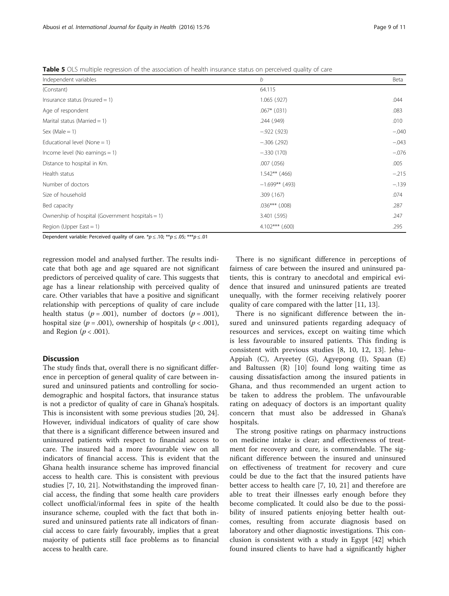<span id="page-8-0"></span>Table 5 OLS multiple regression of the association of health insurance status on perceived quality of care

| Independent variables                               | b                  | Beta    |
|-----------------------------------------------------|--------------------|---------|
| (Constant)                                          | 64.115             |         |
| Insurance status (Insured $= 1$ )                   | $1.065$ (.927)     | .044    |
| Age of respondent                                   | $.067*$ $(.031)$   | .083    |
| Marital status (Married $= 1$ )                     | .244 (.949)        | .010    |
| $Sex (Male = 1)$                                    | $-.922(.923)$      | $-.040$ |
| Educational level (None $= 1$ )                     | $-.306(.292)$      | $-.043$ |
| Income level (No earnings $= 1$ )                   | $-.330(170)$       | $-.076$ |
| Distance to hospital in Km.                         | $.007$ $(.056)$    | .005    |
| Health status                                       | $1.542**$ (.466)   | $-.215$ |
| Number of doctors                                   | $-1.699**$ (.493)  | $-.139$ |
| Size of household                                   | .309(.167)         | .074    |
| Bed capacity                                        | $.036***$ $(.008)$ | .287    |
| Ownership of hospital (Government hospitals = $1$ ) | 3.401 (.595)       | .247    |
| Region (Upper East $= 1$ )                          | $4.102***$ (.600)  | .295    |

Dependent variable: Perceived quality of care.  $p \le 10$ ; \*\* $p \le 0.05$ ; \*\*\* $p \le 01$ 

regression model and analysed further. The results indicate that both age and age squared are not significant predictors of perceived quality of care. This suggests that age has a linear relationship with perceived quality of care. Other variables that have a positive and significant relationship with perceptions of quality of care include health status ( $p = .001$ ), number of doctors ( $p = .001$ ), hospital size ( $p = .001$ ), ownership of hospitals ( $p < .001$ ), and Region ( $p < .001$ ).

# **Discussion**

The study finds that, overall there is no significant difference in perception of general quality of care between insured and uninsured patients and controlling for sociodemographic and hospital factors, that insurance status is not a predictor of quality of care in Ghana's hospitals. This is inconsistent with some previous studies [[20, 24](#page-10-0)]. However, individual indicators of quality of care show that there is a significant difference between insured and uninsured patients with respect to financial access to care. The insured had a more favourable view on all indicators of financial access. This is evident that the Ghana health insurance scheme has improved financial access to health care. This is consistent with previous studies [[7](#page-9-0), [10, 21](#page-10-0)]. Notwithstanding the improved financial access, the finding that some health care providers collect unofficial/informal fees in spite of the health insurance scheme, coupled with the fact that both insured and uninsured patients rate all indicators of financial access to care fairly favourably, implies that a great majority of patients still face problems as to financial access to health care.

There is no significant difference in perceptions of fairness of care between the insured and uninsured patients, this is contrary to anecdotal and empirical evidence that insured and uninsured patients are treated unequally, with the former receiving relatively poorer quality of care compared with the latter [[11, 13\]](#page-10-0).

There is no significant difference between the insured and uninsured patients regarding adequacy of resources and services, except on waiting time which is less favourable to insured patients. This finding is consistent with previous studies [[8, 10, 12, 13](#page-10-0)]. Jehu-Appiah (C), Aryeetey (G), Agyepong (I), Spaan (E) and Baltussen (R) [\[10](#page-10-0)] found long waiting time as causing dissatisfaction among the insured patients in Ghana, and thus recommended an urgent action to be taken to address the problem. The unfavourable rating on adequacy of doctors is an important quality concern that must also be addressed in Ghana's hospitals.

The strong positive ratings on pharmacy instructions on medicine intake is clear; and effectiveness of treatment for recovery and cure, is commendable. The significant difference between the insured and uninsured on effectiveness of treatment for recovery and cure could be due to the fact that the insured patients have better access to health care [[7,](#page-9-0) [10, 21](#page-10-0)] and therefore are able to treat their illnesses early enough before they become complicated. It could also be due to the possibility of insured patients enjoying better health outcomes, resulting from accurate diagnosis based on laboratory and other diagnostic investigations. This conclusion is consistent with a study in Egypt [[42](#page-10-0)] which found insured clients to have had a significantly higher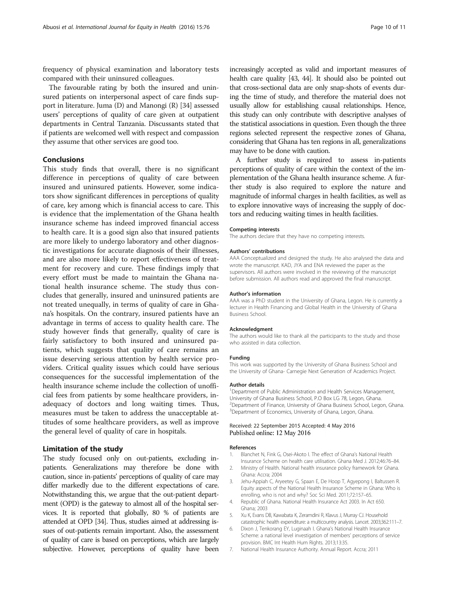<span id="page-9-0"></span>frequency of physical examination and laboratory tests compared with their uninsured colleagues.

The favourable rating by both the insured and uninsured patients on interpersonal aspect of care finds support in literature. Juma (D) and Manongi (R) [\[34\]](#page-10-0) assessed users' perceptions of quality of care given at outpatient departments in Central Tanzania. Discussants stated that if patients are welcomed well with respect and compassion they assume that other services are good too.

# Conclusions

This study finds that overall, there is no significant difference in perceptions of quality of care between insured and uninsured patients. However, some indicators show significant differences in perceptions of quality of care, key among which is financial access to care. This is evidence that the implementation of the Ghana health insurance scheme has indeed improved financial access to health care. It is a good sign also that insured patients are more likely to undergo laboratory and other diagnostic investigations for accurate diagnosis of their illnesses, and are also more likely to report effectiveness of treatment for recovery and cure. These findings imply that every effort must be made to maintain the Ghana national health insurance scheme. The study thus concludes that generally, insured and uninsured patients are not treated unequally, in terms of quality of care in Ghana's hospitals. On the contrary, insured patients have an advantage in terms of access to quality health care. The study however finds that generally, quality of care is fairly satisfactory to both insured and uninsured patients, which suggests that quality of care remains an issue deserving serious attention by health service providers. Critical quality issues which could have serious consequences for the successful implementation of the health insurance scheme include the collection of unofficial fees from patients by some healthcare providers, inadequacy of doctors and long waiting times. Thus, measures must be taken to address the unacceptable attitudes of some healthcare providers, as well as improve the general level of quality of care in hospitals.

# Limitation of the study

The study focused only on out-patients, excluding inpatients. Generalizations may therefore be done with caution, since in-patients' perceptions of quality of care may differ markedly due to the different expectations of care. Notwithstanding this, we argue that the out-patient department (OPD) is the gateway to almost all of the hospital services. It is reported that globally, 80 % of patients are attended at OPD [\[34](#page-10-0)]. Thus, studies aimed at addressing issues of out-patients remain important. Also, the assessment of quality of care is based on perceptions, which are largely subjective. However, perceptions of quality have been

increasingly accepted as valid and important measures of health care quality [[43, 44](#page-10-0)]. It should also be pointed out that cross-sectional data are only snap-shots of events during the time of study, and therefore the material does not usually allow for establishing causal relationships. Hence, this study can only contribute with descriptive analyses of the statistical associations in question. Even though the three regions selected represent the respective zones of Ghana,

A further study is required to assess in-patients perceptions of quality of care within the context of the implementation of the Ghana health insurance scheme. A further study is also required to explore the nature and magnitude of informal charges in health facilities, as well as to explore innovative ways of increasing the supply of doctors and reducing waiting times in health facilities.

considering that Ghana has ten regions in all, generalizations

#### Competing interests

The authors declare that they have no competing interests.

may have to be done with caution.

#### Authors' contributions

AAA Conceptualized and designed the study. He also analysed the data and wrote the manuscript. KAD, JYA and ENA reviewed the paper as the supervisors. All authors were involved in the reviewing of the manuscript before submission. All authors read and approved the final manuscript.

#### Author's information

AAA was a PhD student in the University of Ghana, Legon. He is currently a lecturer in Health Financing and Global Health in the University of Ghana Business School.

#### Acknowledgment

The authors would like to thank all the participants to the study and those who assisted in data collection.

#### Funding

This work was supported by the University of Ghana Business School and the University of Ghana- Carnegie Next Generation of Academics Project.

#### Author details

<sup>1</sup>Department of Public Administration and Health Services Management, University of Ghana Business School, P.O Box LG 78, Legon, Ghana. <sup>2</sup> Department of Finance, University of Ghana Business School, Legon, Ghana. <sup>3</sup> Department of Economics, University of Ghana, Legon, Ghana.

## Received: 22 September 2015 Accepted: 4 May 2016 Published online: 12 May 2016

#### References

- Blanchet N, Fink G, Osei-Akoto I. The effect of Ghana's National Health Insurance Scheme on health care utilisation. Ghana Med J. 2012;46:76–84.
- 2. Ministry of Health. National health insurance policy framework for Ghana. Ghana: Accra; 2004
- 3. Jehu-Appiah C, Aryeetey G, Spaan E, De Hoop T, Agyepong I, Baltussen R. Equity aspects of the National Health Insurance Scheme in Ghana: Who is enrolling, who is not and why? Soc Sci Med. 2011;72:157–65.
- 4. Republic of Ghana. National Health Insurance Act 2003. In Act 650. Ghana; 2003
- 5. Xu K, Evans DB, Kawabata K, Zeramdini R, Klavus J, Murray CJ. Household catastrophic health expenditure: a multicountry analysis. Lancet. 2003;362:111–7.
- 6. Dixon J, Tenkorang EY, Luginaah I. Ghana's National Health Insurance Scheme: a national level investigation of members' perceptions of service provision. BMC Int Health Hum Rights. 2013;13:35.
- 7. National Health Insurance Authority. Annual Report. Accra; 2011